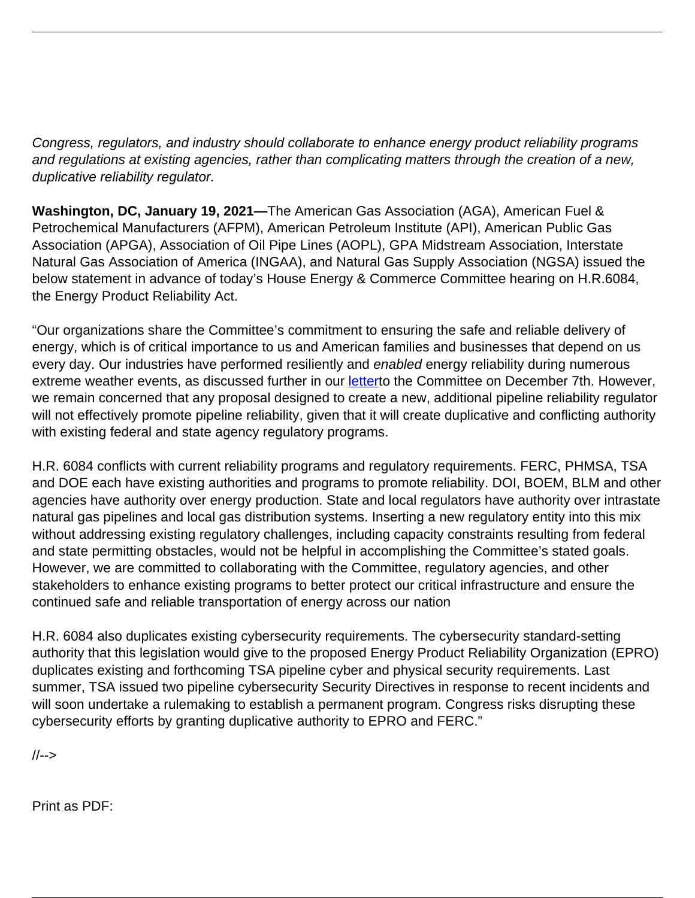Congress, regulators, and industry should collaborate to enhance energy product reliability programs and regulations at existing agencies, rather than complicating matters through the creation of a new, duplicative reliability regulator.

**Washington, DC, January 19, 2021—**The American Gas Association (AGA), American Fuel & Petrochemical Manufacturers (AFPM), American Petroleum Institute (API), American Public Gas Association (APGA), Association of Oil Pipe Lines (AOPL), GPA Midstream Association, Interstate Natural Gas Association of America (INGAA), and Natural Gas Supply Association (NGSA) issued the below statement in advance of today's House Energy & Commerce Committee hearing on H.R.6084, the Energy Product Reliability Act.

"Our organizations share the Committee's commitment to ensuring the safe and reliable delivery of energy, which is of critical importance to us and American families and businesses that depend on us every day. Our industries have performed resiliently and enabled energy reliability during numerous extreme weather events, as discussed further in our [lettert](https://www.ingaa.org/File.aspx?id=39147)o the Committee on December 7th. However, we remain concerned that any proposal designed to create a new, additional pipeline reliability regulator will not effectively promote pipeline reliability, given that it will create duplicative and conflicting authority with existing federal and state agency regulatory programs.

H.R. 6084 conflicts with current reliability programs and regulatory requirements. FERC, PHMSA, TSA and DOE each have existing authorities and programs to promote reliability. DOI, BOEM, BLM and other agencies have authority over energy production. State and local regulators have authority over intrastate natural gas pipelines and local gas distribution systems. Inserting a new regulatory entity into this mix without addressing existing regulatory challenges, including capacity constraints resulting from federal and state permitting obstacles, would not be helpful in accomplishing the Committee's stated goals. However, we are committed to collaborating with the Committee, regulatory agencies, and other stakeholders to enhance existing programs to better protect our critical infrastructure and ensure the continued safe and reliable transportation of energy across our nation

H.R. 6084 also duplicates existing cybersecurity requirements. The cybersecurity standard-setting authority that this legislation would give to the proposed Energy Product Reliability Organization (EPRO) duplicates existing and forthcoming TSA pipeline cyber and physical security requirements. Last summer, TSA issued two pipeline cybersecurity Security Directives in response to recent incidents and will soon undertake a rulemaking to establish a permanent program. Congress risks disrupting these cybersecurity efforts by granting duplicative authority to EPRO and FERC."

//-->

Print as PDF: